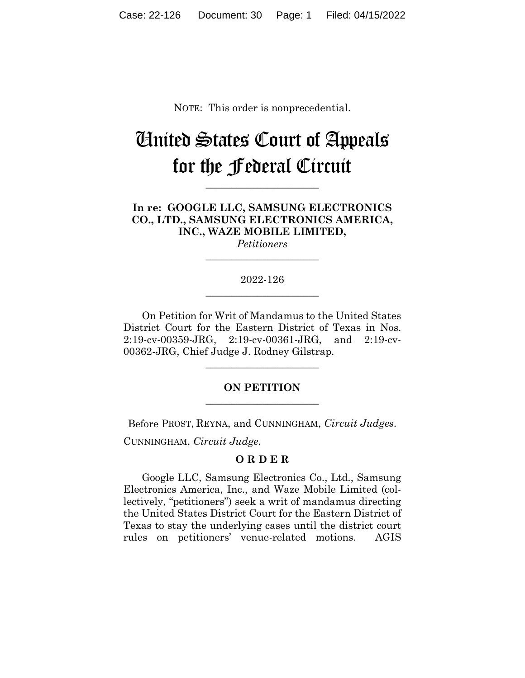NOTE: This order is nonprecedential.

# United States Court of Appeals for the Federal Circuit

**\_\_\_\_\_\_\_\_\_\_\_\_\_\_\_\_\_\_\_\_\_\_**

**In re: GOOGLE LLC, SAMSUNG ELECTRONICS CO., LTD., SAMSUNG ELECTRONICS AMERICA, INC., WAZE MOBILE LIMITED,**

*Petitioners* **\_\_\_\_\_\_\_\_\_\_\_\_\_\_\_\_\_\_\_\_\_\_**

### 2022-126 **\_\_\_\_\_\_\_\_\_\_\_\_\_\_\_\_\_\_\_\_\_\_**

On Petition for Writ of Mandamus to the United States District Court for the Eastern District of Texas in Nos. 2:19-cv-00359-JRG, 2:19-cv-00361-JRG, and 2:19-cv-00362-JRG, Chief Judge J. Rodney Gilstrap.

## **ON PETITION \_\_\_\_\_\_\_\_\_\_\_\_\_\_\_\_\_\_\_\_\_\_**

**\_\_\_\_\_\_\_\_\_\_\_\_\_\_\_\_\_\_\_\_\_\_**

Before PROST, REYNA, and CUNNINGHAM, *Circuit Judges*.

CUNNINGHAM, *Circuit Judge*.

#### **O R D E R**

Google LLC, Samsung Electronics Co., Ltd., Samsung Electronics America, Inc., and Waze Mobile Limited (collectively, "petitioners") seek a writ of mandamus directing the United States District Court for the Eastern District of Texas to stay the underlying cases until the district court rules on petitioners' venue-related motions. AGIS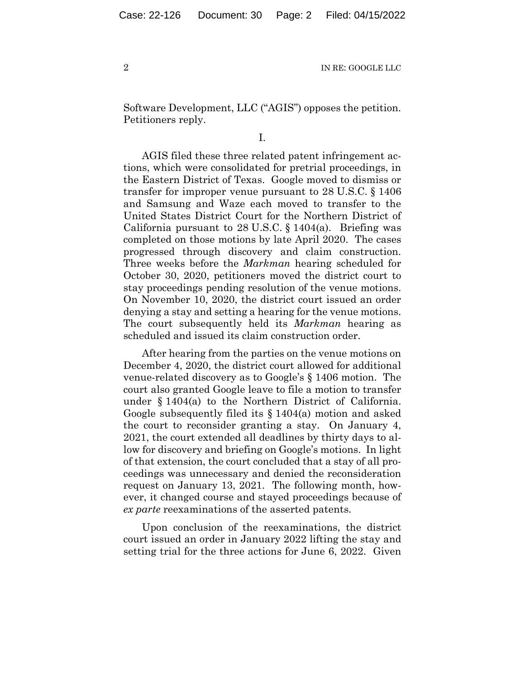2 IN RE: GOOGLE LLC

Software Development, LLC ("AGIS") opposes the petition. Petitioners reply.

I.

AGIS filed these three related patent infringement actions, which were consolidated for pretrial proceedings, in the Eastern District of Texas. Google moved to dismiss or transfer for improper venue pursuant to 28 U.S.C. § 1406 and Samsung and Waze each moved to transfer to the United States District Court for the Northern District of California pursuant to  $28 \text{ U.S.C.}$  §  $1404(a)$ . Briefing was completed on those motions by late April 2020. The cases progressed through discovery and claim construction. Three weeks before the *Markman* hearing scheduled for October 30, 2020, petitioners moved the district court to stay proceedings pending resolution of the venue motions. On November 10, 2020, the district court issued an order denying a stay and setting a hearing for the venue motions. The court subsequently held its *Markman* hearing as scheduled and issued its claim construction order.

After hearing from the parties on the venue motions on December 4, 2020, the district court allowed for additional venue-related discovery as to Google's § 1406 motion. The court also granted Google leave to file a motion to transfer under § 1404(a) to the Northern District of California. Google subsequently filed its § 1404(a) motion and asked the court to reconsider granting a stay. On January 4, 2021, the court extended all deadlines by thirty days to allow for discovery and briefing on Google's motions. In light of that extension, the court concluded that a stay of all proceedings was unnecessary and denied the reconsideration request on January 13, 2021. The following month, however, it changed course and stayed proceedings because of *ex parte* reexaminations of the asserted patents.

Upon conclusion of the reexaminations, the district court issued an order in January 2022 lifting the stay and setting trial for the three actions for June 6, 2022. Given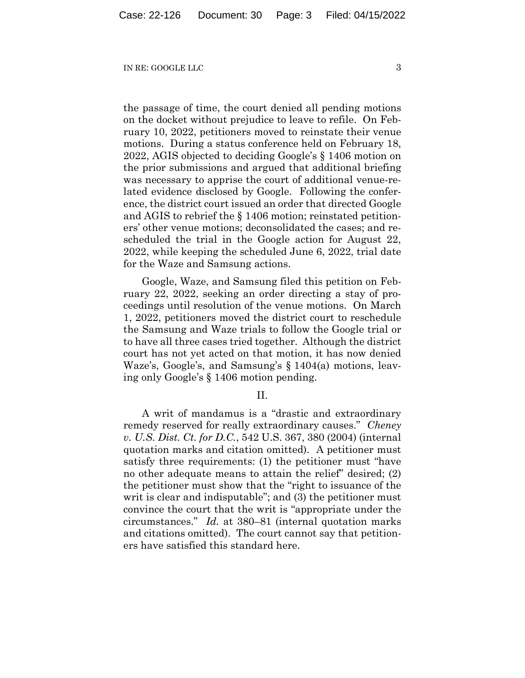#### IN RE: GOOGLE LLC 3

the passage of time, the court denied all pending motions on the docket without prejudice to leave to refile. On February 10, 2022, petitioners moved to reinstate their venue motions. During a status conference held on February 18, 2022, AGIS objected to deciding Google's § 1406 motion on the prior submissions and argued that additional briefing was necessary to apprise the court of additional venue-related evidence disclosed by Google. Following the conference, the district court issued an order that directed Google and AGIS to rebrief the § 1406 motion; reinstated petitioners' other venue motions; deconsolidated the cases; and rescheduled the trial in the Google action for August 22, 2022, while keeping the scheduled June 6, 2022, trial date for the Waze and Samsung actions.

Google, Waze, and Samsung filed this petition on February 22, 2022, seeking an order directing a stay of proceedings until resolution of the venue motions. On March 1, 2022, petitioners moved the district court to reschedule the Samsung and Waze trials to follow the Google trial or to have all three cases tried together. Although the district court has not yet acted on that motion, it has now denied Waze's, Google's, and Samsung's § 1404(a) motions, leaving only Google's § 1406 motion pending.

II.

A writ of mandamus is a "drastic and extraordinary remedy reserved for really extraordinary causes." *Cheney v. U.S. Dist. Ct. for D.C.*, 542 U.S. 367, 380 (2004) (internal quotation marks and citation omitted). A petitioner must satisfy three requirements: (1) the petitioner must "have no other adequate means to attain the relief" desired; (2) the petitioner must show that the "right to issuance of the writ is clear and indisputable"; and (3) the petitioner must convince the court that the writ is "appropriate under the circumstances." *Id.* at 380–81 (internal quotation marks and citations omitted). The court cannot say that petitioners have satisfied this standard here.